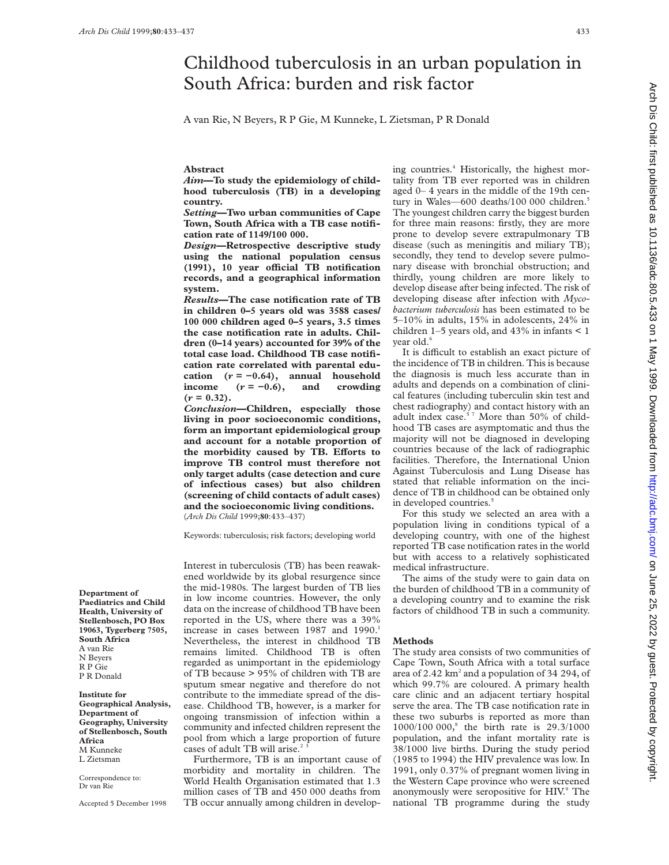# Childhood tuberculosis in an urban population in South Africa: burden and risk factor

A van Rie, N Beyers, R P Gie, M Kunneke, L Zietsman, P R Donald

## **Abstract**

*Aim***—To study the epidemiology of childhood tuberculosis (TB) in a developing country.**

*Setting***—Two urban communities of Cape Town, South Africa with a TB case notification rate of 1149/100 000.**

*Design***—Retrospective descriptive study using the national population census (1991), 10 year oYcial TB notification records, and a geographical information system.**

*Results***—The case notification rate of TB in children 0–5 years old was 3588 cases/ 100 000 children aged 0–5 years, 3.5 times the case notification rate in adults. Children (0–14 years) accounted for 39% of the total case load. Childhood TB case notification rate correlated with parental edu**cation  $(r = -0.64)$ , annual household<br>income  $(r = -0.6)$ , and crowding  $(r = -0.6)$ ,  $(r = 0.32)$ .

*Conclusion***—Children, especially those living in poor socioeconomic conditions, form an important epidemiological group and account for a notable proportion of** the morbidity caused by TB. Efforts to **improve TB control must therefore not only target adults (case detection and cure of infectious cases) but also children (screening of child contacts of adult cases) and the socioeconomic living conditions.** (*Arch Dis Child* 1999;**80**:433–437)

Keywords: tuberculosis; risk factors; developing world

Interest in tuberculosis (TB) has been reawakened worldwide by its global resurgence since the mid-1980s. The largest burden of TB lies in low income countries. However, the only data on the increase of childhood TB have been reported in the US, where there was a 39% increase in cases between 1987 and 1990.<sup>1</sup> Nevertheless, the interest in childhood TB remains limited. Childhood TB is often regarded as unimportant in the epidemiology of TB because > 95% of children with TB are sputum smear negative and therefore do not contribute to the immediate spread of the disease. Childhood TB, however, is a marker for ongoing transmission of infection within a community and infected children represent the pool from which a large proportion of future cases of adult TB will arise.<sup>2</sup>

Furthermore, TB is an important cause of morbidity and mortality in children. The World Health Organisation estimated that 1.3 million cases of TB and 450 000 deaths from TB occur annually among children in develop-

ing countries.<sup>4</sup> Historically, the highest mortality from TB ever reported was in children aged 0– 4 years in the middle of the 19th century in Wales—600 deaths/100 000 children.<sup>5</sup> The youngest children carry the biggest burden for three main reasons: firstly, they are more prone to develop severe extrapulmonary TB disease (such as meningitis and miliary TB); secondly, they tend to develop severe pulmonary disease with bronchial obstruction; and thirdly, young children are more likely to develop disease after being infected. The risk of developing disease after infection with *Mycobacterium tuberculosis* has been estimated to be 5–10% in adults, 15% in adolescents, 24% in children 1–5 years old, and 43% in infants < 1 year old.<sup>6</sup>

It is difficult to establish an exact picture of the incidence of TB in children. This is because the diagnosis is much less accurate than in adults and depends on a combination of clinical features (including tuberculin skin test and chest radiography) and contact history with an adult index case.<sup>57</sup> More than 50% of childhood TB cases are asymptomatic and thus the majority will not be diagnosed in developing countries because of the lack of radiographic facilities. Therefore, the International Union Against Tuberculosis and Lung Disease has stated that reliable information on the incidence of TB in childhood can be obtained only in developed countries.<sup>5</sup>

For this study we selected an area with a population living in conditions typical of a developing country, with one of the highest reported TB case notification rates in the world but with access to a relatively sophisticated medical infrastructure.

The aims of the study were to gain data on the burden of childhood TB in a community of a developing country and to examine the risk factors of childhood TB in such a community.

#### **Methods**

The study area consists of two communities of Cape Town, South Africa with a total surface area of 2.42  $km^2$  and a population of 34 294, of which 99.7% are coloured. A primary health care clinic and an adjacent tertiary hospital serve the area. The TB case notification rate in these two suburbs is reported as more than 1000/100 000,8 the birth rate is 29.3/1000 population, and the infant mortality rate is 38/1000 live births. During the study period (1985 to 1994) the HIV prevalence was low. In 1991, only 0.37% of pregnant women living in the Western Cape province who were screened anonymously were seropositive for HIV.<sup>9</sup> The national TB programme during the study

#### **Department of Paediatrics and Child Health, University of Stellenbosch, PO Box 19063, Tygerberg 7505, South Africa** A van Rie N Beyers R P Gie P R Donald

**Institute for Geographical Analysis, Department of Geography, University of Stellenbosch, South Africa** M Kunneke L Zietsman

Correspondence to: Dr van Rie

Accepted 5 December 1998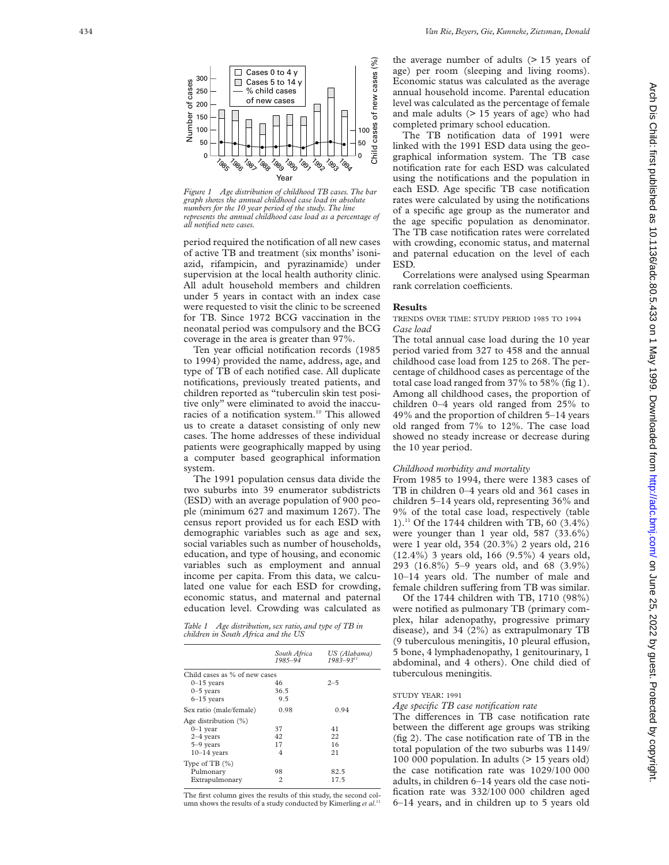

*Figure 1 Age distribution of childhood TB cases. The bar graph shows the annual childhood case load in absolute numbers for the 10 year period of the study. The line represents the annual childhood case load as a percentage of all notified new cases.*

period required the notification of all new cases of active TB and treatment (six months' isoniazid, rifampicin, and pyrazinamide) under supervision at the local health authority clinic. All adult household members and children under 5 years in contact with an index case were requested to visit the clinic to be screened for TB. Since 1972 BCG vaccination in the neonatal period was compulsory and the BCG coverage in the area is greater than 97%.

Ten year official notification records (1985 to 1994) provided the name, address, age, and type of TB of each notified case. All duplicate notifications, previously treated patients, and children reported as "tuberculin skin test positive only" were eliminated to avoid the inaccuracies of a notification system.<sup>10</sup> This allowed us to create a dataset consisting of only new cases. The home addresses of these individual patients were geographically mapped by using a computer based geographical information system.

The 1991 population census data divide the two suburbs into 39 enumerator subdistricts (ESD) with an average population of 900 people (minimum 627 and maximum 1267). The census report provided us for each ESD with demographic variables such as age and sex, social variables such as number of households, education, and type of housing, and economic variables such as employment and annual income per capita. From this data, we calculated one value for each ESD for crowding, economic status, and maternal and paternal education level. Crowding was calculated as

*Table 1 Age distribution, sex ratio, and type of TB in children in South Africa and the US*

|                               | South Africa<br>1985-94 | US (Alabama)<br>$1983 - 93$ <sup>11</sup> |
|-------------------------------|-------------------------|-------------------------------------------|
| Child cases as % of new cases |                         |                                           |
| $0-15$ years                  | 46                      | $2 - 5$                                   |
| $0-5$ years                   | 36.5                    |                                           |
| $6-15$ years                  | 9.5                     |                                           |
| Sex ratio (male/female)       | 0.98                    | 0.94                                      |
| Age distribution $(\%)$       |                         |                                           |
| $0-1$ year                    | 37                      | 41                                        |
| $2-4$ years                   | 42.                     | 22                                        |
| $5-9$ years                   | 17                      | 16                                        |
| $10-14$ years                 | 4                       | 21                                        |
| Type of TB $(\% )$            |                         |                                           |
| Pulmonary                     | 98                      | 82.5                                      |
| Extrapulmonary                | 2                       | 17.5                                      |

The first column gives the results of this study, the second column shows the results of a study conducted by Kimerling *et al*. 11 the average number of adults (> 15 years of age) per room (sleeping and living rooms). Economic status was calculated as the average annual household income. Parental education level was calculated as the percentage of female and male adults (> 15 years of age) who had completed primary school education.

The TB notification data of 1991 were linked with the 1991 ESD data using the geographical information system. The TB case notification rate for each ESD was calculated using the notifications and the population in each ESD. Age specific TB case notification rates were calculated by using the notifications of a specific age group as the numerator and the age specific population as denominator. The TB case notification rates were correlated with crowding, economic status, and maternal and paternal education on the level of each ESD.

Correlations were analysed using Spearman rank correlation coefficients.

### **Results**

TRENDS OVER TIME : STUDY PERIOD 1985 TO 1994 *Case load*

The total annual case load during the 10 year period varied from 327 to 458 and the annual childhood case load from 125 to 268. The percentage of childhood cases as percentage of the total case load ranged from 37% to 58% (fig 1). Among all childhood cases, the proportion of children 0–4 years old ranged from 25% to 49% and the proportion of children 5–14 years old ranged from 7% to 12%. The case load showed no steady increase or decrease during the 10 year period.

#### *Childhood morbidity and mortality*

From 1985 to 1994, there were 1383 cases of TB in children 0–4 years old and 361 cases in children 5–14 years old, representing 36% and 9% of the total case load, respectively (table 1).<sup>11</sup> Of the 1744 children with TB, 60 (3.4%) were younger than 1 year old, 587 (33.6%) were 1 year old, 354 (20.3%) 2 years old, 216 (12.4%) 3 years old, 166 (9.5%) 4 years old, 293 (16.8%) 5–9 years old, and 68 (3.9%) 10–14 years old. The number of male and female children suffering from TB was similar.

Of the 1744 children with TB, 1710 (98%) were notified as pulmonary TB (primary complex, hilar adenopathy, progressive primary disease) *,* and 34 (2%) as extrapulmonary TB (9 tuberculous meningitis, 10 pleural effusion, 5 bone, 4 lymphadenopathy, 1 genitourinary, 1 abdominal, and 4 others). One child died of tuberculous meningitis.

#### STUDY YEAR : 1991

## *Age specific TB case notification rate*

The differences in TB case notification rate between the different age groups was striking (fig 2). The case notification rate of TB in the total population of the two suburbs was 1149/ 100 000 population. In adults (> 15 years old) the case notification rate was 1029/100 000 adults, in children 6–14 years old the case notification rate was 332/100 000 children aged 6–14 years, and in children up to 5 years old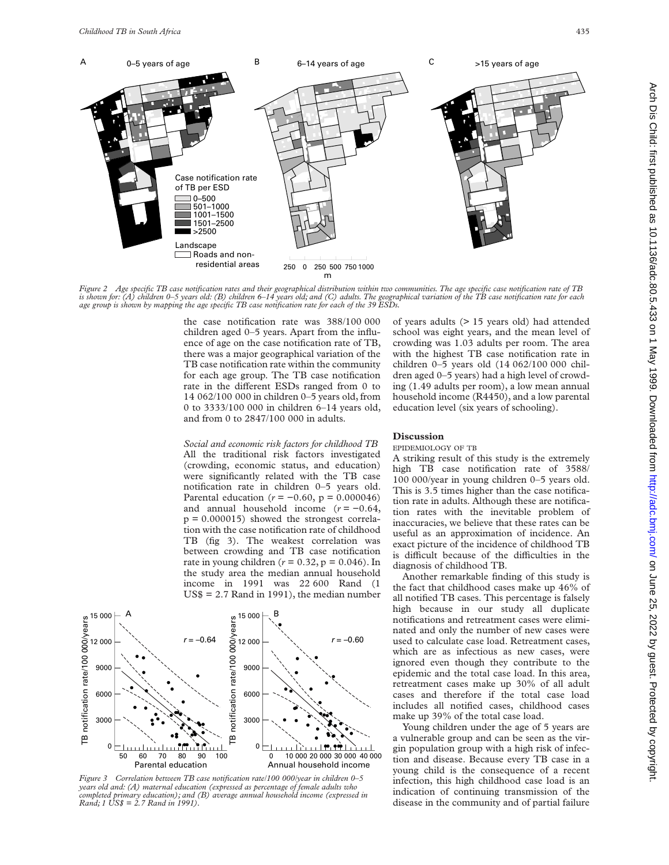

*Figure 2 Age specific TB case notification rates and their geographical distribution within two communities. The age specific case notification rate of TB is shown for: (A) children 0–5 years old: (B) children 6–14 years old; and (C) adults. The geographical variation of the TB case notification rate for each age group is shown by mapping the age specific TB case notification rate for each of the 39 ESDs.*

the case notification rate was 388/100 000 children aged 0–5 years. Apart from the influence of age on the case notification rate of TB, there was a major geographical variation of the TB case notification rate within the community for each age group. The TB case notification rate in the different ESDs ranged from 0 to 14 062/100 000 in children 0–5 years old, from 0 to 3333/100 000 in children 6–14 years old, and from 0 to 2847/100 000 in adults.

*Social and economic risk factors for childhood TB* All the traditional risk factors investigated (crowding, economic status, and education) were significantly related with the TB case notification rate in children 0–5 years old. Parental education (*r* = −0.60, p = 0.000046) and annual household income  $(r = -0.64,$  $p = 0.000015$ ) showed the strongest correlation with the case notification rate of childhood TB (fig 3). The weakest correlation was between crowding and TB case notification rate in young children  $(r = 0.32, p = 0.046)$ . In the study area the median annual household income in 1991 was 22 600 Rand (1 US\$ = 2.7 Rand in 1991), the median number



*Figure 3 Correlation between TB case notification rate/100 000/year in children 0–5 years old and: (A) maternal education (expressed as percentage of female adults who completed primary education); and (B) average annual household income (expressed in Rand; 1 US\$ = 2.7 Rand in 1991).*

of years adults (> 15 years old) had attended school was eight years, and the mean level of crowding was 1.03 adults per room. The area with the highest TB case notification rate in children 0–5 years old (14 062/100 000 children aged 0–5 years) had a high level of crowding (1.49 adults per room), a low mean annual household income (R4450), and a low parental education level (six years of schooling).

## **Discussion**

## EPIDEMIOLOGY OF TB

A striking result of this study is the extremely high TB case notification rate of 3588/ 100 000/year in young children 0–5 years old. This is 3.5 times higher than the case notification rate in adults. Although these are notification rates with the inevitable problem of inaccuracies, we believe that these rates can be useful as an approximation of incidence. An exact picture of the incidence of childhood TB is difficult because of the difficulties in the diagnosis of childhood TB.

Another remarkable finding of this study is the fact that childhood cases make up 46% of all notified TB cases. This percentage is falsely high because in our study all duplicate notifications and retreatment cases were eliminated and only the number of new cases were used to calculate case load. Retreatment cases, which are as infectious as new cases, were ignored even though they contribute to the epidemic and the total case load. In this area, retreatment cases make up 30% of all adult cases and therefore if the total case load includes all notified cases, childhood cases make up 39% of the total case load.

Young children under the age of 5 years are a vulnerable group and can be seen as the virgin population group with a high risk of infection and disease. Because every TB case in a young child is the consequence of a recent infection, this high childhood case load is an indication of continuing transmission of the disease in the community and of partial failure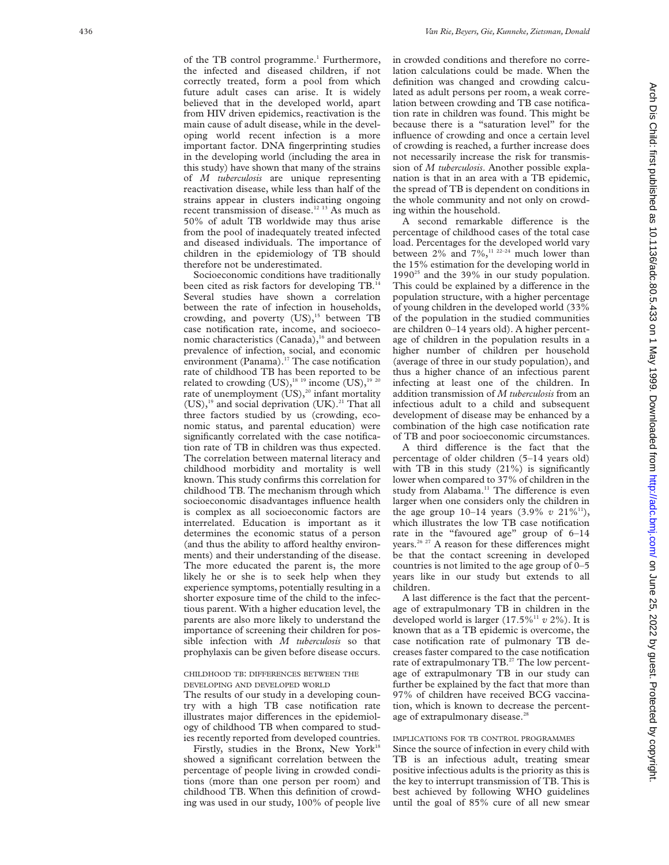of the TB control programme. <sup>1</sup> Furthermore, the infected and diseased children, if not correctly treated, form a pool from which future adult cases can arise. It is widely believed that in the developed world, apart from HIV driven epidemics, reactivation is the main cause of adult disease, while in the developing world recent infection is a more important factor. DNA fingerprinting studies in the developing world (including the area in this study) have shown that many of the strains of *M tuberculosis* are unique representing reactivation disease, while less than half of the strains appear in clusters indicating ongoing recent transmission of disease.12 13 As much as 50% of adult TB worldwide may thus arise from the pool of inadequately treated infected and diseased individuals. The importance of children in the epidemiology of TB should therefore not be underestimated.

Socioeconomic conditions have traditionally been cited as risk factors for developing TB.14 Several studies have shown a correlation between the rate of infection in households, crowding, and poverty (US),<sup>15</sup> between TB case notification rate, income, and socioeconomic characteristics (Canada),<sup>16</sup> and between prevalence of infection, social, and economic environment (Panama).<sup>17</sup> The case notification rate of childhood TB has been reported to be related to crowding  $(US)$ ,<sup>18 19</sup> income  $(US)$ ,<sup>19 20</sup> rate of unemployment  $(US),<sup>20</sup>$  infant mortality  $(US),<sup>19</sup>$  and social deprivation  $(UK).<sup>21</sup>$  That all three factors studied by us (crowding, economic status, and parental education) were significantly correlated with the case notification rate of TB in children was thus expected. The correlation between maternal literacy and childhood morbidity and mortality is well known. This study confirms this correlation for childhood TB. The mechanism through which socioeconomic disadvantages influence health is complex as all socioeconomic factors are interrelated. Education is important as it determines the economic status of a person (and thus the ability to afford healthy environments) and their understanding of the disease. The more educated the parent is, the more likely he or she is to seek help when they experience symptoms, potentially resulting in a shorter exposure time of the child to the infectious parent. With a higher education level, the parents are also more likely to understand the importance of screening their children for possible infection with *M tuberculosis* so that prophylaxis can be given before disease occurs.

#### CHILDHOOD TB : DIFFERENCES BETWEEN THE DEVELOPING AND DEVELOPED WORLD

The results of our study in a developing country with a high TB case notification rate illustrates major differences in the epidemiology of childhood TB when compared to studies recently reported from developed countries.

Firstly, studies in the Bronx, New York<sup>18</sup> showed a significant correlation between the percentage of people living in crowded conditions (more than one person per room) and childhood TB. When this definition of crowding was used in our study, 100% of people live in crowded conditions and therefore no correlation calculations could be made. When the definition was changed and crowding calculated as adult persons per room, a weak correlation between crowding and TB case notification rate in children was found. This might be because there is a "saturation level" for the influence of crowding and once a certain level of crowding is reached, a further increase does not necessarily increase the risk for transmission of *M tuberculosis*. Another possible explanation is that in an area with a TB epidemic, the spread of TB is dependent on conditions in the whole community and not only on crowding within the household.

A second remarkable difference is the percentage of childhood cases of the total case load. Percentages for the developed world vary between  $2\%$  and  $7\%$ ,<sup>11 22-24</sup> much lower than the 15% estimation for the developing world in  $1990^{25}$  and the 39% in our study population. This could be explained by a difference in the population structure, with a higher percentage of young children in the developed world (33% of the population in the studied communities are children 0–14 years old). A higher percentage of children in the population results in a higher number of children per household (average of three in our study population), and thus a higher chance of an infectious parent infecting at least one of the children. In addition transmission of *M tuberculosis* from an infectious adult to a child and subsequent development of disease may be enhanced by a combination of the high case notification rate of TB and poor socioeconomic circumstances.

A third difference is the fact that the percentage of older children (5–14 years old) with TB in this study (21%) is significantly lower when compared to 37% of children in the study from Alabama.<sup>11</sup> The difference is even larger when one considers only the children in the age group  $10-14$  years  $(3.9\% \text{ } v \text{ } 21\%^{11}),$ which illustrates the low TB case notification rate in the "favoured age" group of 6–14 years.<sup>26 27</sup> A reason for these differences might be that the contact screening in developed countries is not limited to the age group of 0–5 years like in our study but extends to all children.

A last difference is the fact that the percentage of extrapulmonary TB in children in the developed world is larger (17.5%<sup>11</sup> v 2%). It is known that as a TB epidemic is overcome, the case notification rate of pulmonary TB decreases faster compared to the case notification rate of extrapulmonary TB.<sup>27</sup> The low percentage of extrapulmonary TB in our study can further be explained by the fact that more than 97% of children have received BCG vaccination, which is known to decrease the percentage of extrapulmonary disease.<sup>28</sup>

## IMPLICATIONS FOR TB CONTROL PROGRAMMES

Since the source of infection in every child with TB is an infectious adult, treating smear positive infectious adults is the priority as this is the key to interrupt transmission of TB. This is best achieved by following WHO guidelines until the goal of 85% cure of all new smear Arch Dis Child: first published as 10.1136/adc.80.5.433 on 1 May 1999. Downloaded from http://adc.bmj.com/ on June 25, 2022 by guest. Protected by copyright on June 2022 by guest Protected by guest protected by copyright. The main state of the State of the State of the State as 10.1136/adc. Protected by substitute and the State of the State of the State of the State of the Sta